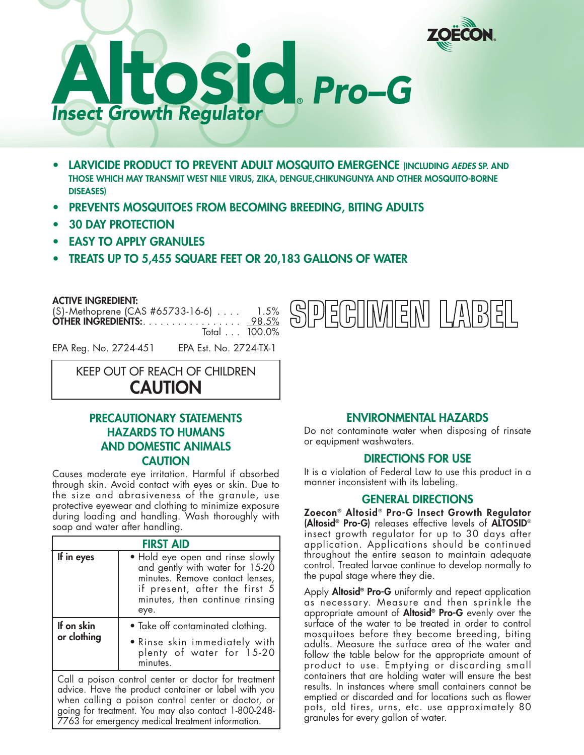



- **• LARVICIDE PRODUCT TO PREVENT ADULT MOSQUITO EMERGENCE (INCLUDING** *AEDES* **SP. AND THOSE WHICH MAY TRANSMIT WEST NILE VIRUS, ZIKA, DENGUE,CHIKUNGUNYA AND OTHER MOSQUITO-BORNE DISEASES)**
- **• PREVENTS MOSQUITOES FROM BECOMING BREEDING, BITING ADULTS**
- **• 30 DAY PROTECTION**
- **• EASY TO APPLY GRANULES**
- **• TREATS UP TO 5,455 SQUARE FEET OR 20,183 GALLONS OF WATER**

**ACTIVE INGREDIENT:**

| $(S)$ -Methoprene (CAS #65733-16-6) $\ldots$ | 1.5% |
|----------------------------------------------|------|
| <b>OTHER INGREDIENTS:</b> 98.5%              |      |
| Total $\ldots$ 100.0%                        |      |



EPA Reg. No. 2724-451 EPA Est. No. 2724-TX-1

KEEP OUT OF REACH OF CHILDREN

**CAUTION**

# **PRECAUTIONARY STATEMENTS HAZARDS TO HUMANS AND DOMESTIC ANIMALS CAUTION**

Causes moderate eye irritation. Harmful if absorbed through skin. Avoid contact with eyes or skin. Due to the size and abrasiveness of the granule, use protective eyewear and clothing to minimize exposure during loading and handling. Wash thoroughly with soap and water after handling.

| <b>FIRST AID</b>                                                                                             |                                                                                                                                                                                   |  |
|--------------------------------------------------------------------------------------------------------------|-----------------------------------------------------------------------------------------------------------------------------------------------------------------------------------|--|
| If in eyes                                                                                                   | . Hold eye open and rinse slowly<br>and gently with water for 15-20<br>minutes. Remove contact lenses,<br>if present, after the first 5<br>minutes, then continue rinsing<br>eye. |  |
| If on skin                                                                                                   | • Take off contaminated clothing.                                                                                                                                                 |  |
| or clothing                                                                                                  | . Rinse skin immediately with<br>plenty of water for 15-20<br>minutes.                                                                                                            |  |
| Call a poison control center or doctor for treatment<br>advice. Have the product container or label with you |                                                                                                                                                                                   |  |

when calling a poison control center or doctor, or going for treatment. You may also contact 1-800-248- 7763 for emergency medical treatment information.

# **ENVIRONMENTAL HAZARDS**

Do not contaminate water when disposing of rinsate or equipment washwaters.

### **DIRECTIONS FOR USE**

It is a violation of Federal Law to use this product in a manner inconsistent with its labeling.

## **GENERAL DIRECTIONS**

**Zoecon® Altosid**® **Pro-G Insect Growth Regulator (Altosid® Pro-G)** releases effective levels of **ALTOSID**® insect growth regulator for up to 30 days after application. Applications should be continued throughout the entire season to maintain adequate control. Treated larvae continue to develop normally to the pupal stage where they die.

Apply **Altosid® Pro-G** uniformly and repeat application as necessary. Measure and then sprinkle the appropriate amount of **Altosid® Pro-G** evenly over the surface of the water to be treated in order to control mosquitoes before they become breeding, biting adults. Measure the surface area of the water and follow the table below for the appropriate amount of product to use. Emptying or discarding small containers that are holding water will ensure the best results. In instances where small containers cannot be emptied or discarded and for locations such as flower pots, old tires, urns, etc. use approximately 80 granules for every gallon of water.